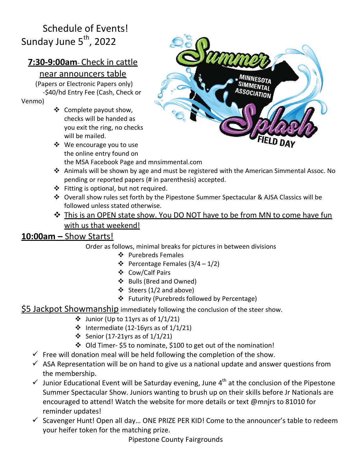# Schedule of Events! Sunday June 5<sup>th</sup>, 2022

# **7:30-9:00am**- Check in cattle

### near announcers table

(Papers or Electronic Papers only) -\$40/hd Entry Fee (Cash, Check or

Venmo)

- ❖ Complete payout show, checks will be handed as you exit the ring, no checks will be mailed.
- ❖ We encourage you to use the online entry found on the MSA Facebook Page and mnsimmental.com



- ❖ Animals will be shown by age and must be registered with the American Simmental Assoc. No pending or reported papers (# in parenthesis) accepted.
- ❖ Fitting is optional, but not required.
- ❖ Overall show rules set forth by the Pipestone Summer Spectacular & AJSA Classics will be followed unless stated otherwise.
- ❖ This is an OPEN state show. You DO NOT have to be from MN to come have fun with us that weekend!

## **10:00am –** Show Starts!

- Order as follows, minimal breaks for pictures in between divisions
	- ❖ Purebreds Females
	- ❖ Percentage Females (3/4 1/2)
	- ❖ Cow/Calf Pairs
	- ❖ Bulls (Bred and Owned)
	- ❖ Steers (1/2 and above)
	- ❖ Futurity (Purebreds followed by Percentage)
- \$5 Jackpot Showmanship immediately following the conclusion of the steer show.
	- $\div$  Junior (Up to 11yrs as of 1/1/21)
	- ❖ Intermediate (12-16yrs as of 1/1/21)
	- ❖ Senior (17-21yrs as of 1/1/21)
	- ❖ Old Timer- \$5 to nominate, \$100 to get out of the nomination!
	- $\checkmark$  Free will donation meal will be held following the completion of the show.
	- $\checkmark$  ASA Representation will be on hand to give us a national update and answer questions from the membership.
	- $\checkmark$  Junior Educational Event will be Saturday evening, June 4<sup>th</sup> at the conclusion of the Pipestone Summer Spectacular Show. Juniors wanting to brush up on their skills before Jr Nationals are encouraged to attend! Watch the website for more details or text @mnjrs to 81010 for reminder updates!
	- $\checkmark$  Scavenger Hunt! Open all day... ONE PRIZE PER KID! Come to the announcer's table to redeem your heifer token for the matching prize.

Pipestone County Fairgrounds